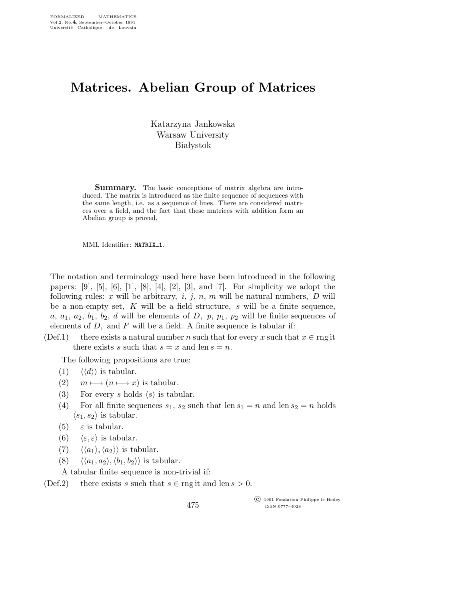## Matrices. Abelian Group of Matrices

Katarzyna Jankowska Warsaw University **Białystok** 

Summary. The basic conceptions of matrix algebra are introduced. The matrix is introduced as the finite sequence of sequences with the same length, i.e. as a sequence of lines. There are considered matrices over a field, and the fact that these matrices with addition form an Abelian group is proved.

MML Identifier: MATRIX\_1.

The notation and terminology used here have been introduced in the following papers:  $[9]$ ,  $[5]$ ,  $[6]$ ,  $[1]$ ,  $[8]$ ,  $[4]$ ,  $[2]$ ,  $[3]$ , and  $[7]$ . For simplicity we adopt the following rules: x will be arbitrary, i, j, n, m will be natural numbers,  $D$  will be a non-empty set,  $K$  will be a field structure,  $s$  will be a finite sequence, a,  $a_1$ ,  $a_2$ ,  $b_1$ ,  $b_2$ , d will be elements of D, p,  $p_1$ ,  $p_2$  will be finite sequences of elements of  $D$ , and  $F$  will be a field. A finite sequence is tabular if:

(Def.1) there exists a natural number n such that for every x such that  $x \in \text{rng it}$ there exists s such that  $s = x$  and len  $s = n$ .

The following propositions are true:

- (1)  $\langle \langle d \rangle \rangle$  is tabular.
- (2)  $m \mapsto (n \mapsto x)$  is tabular.
- (3) For every s holds  $\langle s \rangle$  is tabular.
- (4) For all finite sequences  $s_1$ ,  $s_2$  such that len  $s_1 = n$  and len  $s_2 = n$  holds  $\langle s_1,s_2 \rangle$  is tabular.
- (5)  $\varepsilon$  is tabular.
- (6)  $\langle \varepsilon, \varepsilon \rangle$  is tabular.
- (7)  $\langle \langle a_1 \rangle, \langle a_2 \rangle \rangle$  is tabular.
- (8)  $\langle \langle a_1,a_2 \rangle, \langle b_1,b_2 \rangle \rangle$  is tabular.

A tabular finite sequence is non-trivial if:

(Def.2) there exists s such that  $s \in \text{rng it}$  and len  $s > 0$ .

475

 c 1991 Fondation Philippe le Hodey ISSN 0777–4028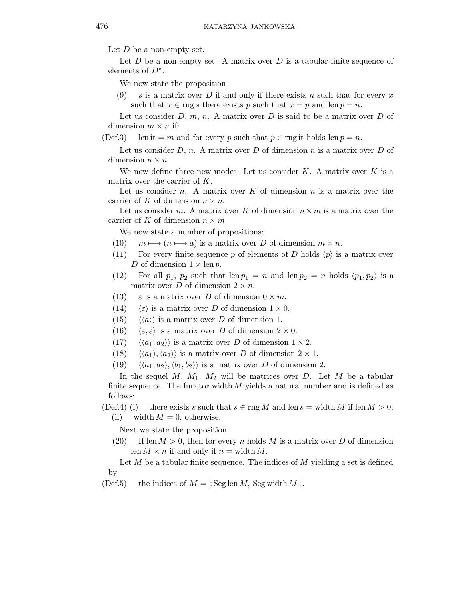Let  $D$  be a non-empty set.

Let  $D$  be a non-empty set. A matrix over  $D$  is a tabular finite sequence of elements of  $D^*$ .

We now state the proposition

(9) s is a matrix over D if and only if there exists n such that for every x such that  $x \in \text{rng } s$  there exists p such that  $x = p$  and len  $p = n$ .

Let us consider  $D, m, n$ . A matrix over  $D$  is said to be a matrix over  $D$  of dimension  $m \times n$  if:

(Def.3) len it = m and for every p such that  $p \in \text{rng it holds } len p = n$ .

Let us consider  $D, n$ . A matrix over  $D$  of dimension n is a matrix over  $D$  of dimension  $n \times n$ .

We now define three new modes. Let us consider  $K$ . A matrix over  $K$  is a matrix over the carrier of K.

Let us consider n. A matrix over  $K$  of dimension n is a matrix over the carrier of K of dimension  $n \times n$ .

Let us consider m. A matrix over K of dimension  $n \times m$  is a matrix over the carrier of K of dimension  $n \times m$ .

We now state a number of propositions:

- (10)  $m \mapsto (n \mapsto a)$  is a matrix over D of dimension  $m \times n$ .
- (11) For every finite sequence p of elements of D holds  $\langle p \rangle$  is a matrix over D of dimension  $1 \times \text{len } p$ .
- (12) For all  $p_1$ ,  $p_2$  such that len  $p_1 = n$  and len  $p_2 = n$  holds  $\langle p_1, p_2 \rangle$  is a matrix over D of dimension  $2 \times n$ .
- (13)  $\varepsilon$  is a matrix over D of dimension  $0 \times m$ .
- (14)  $\langle \varepsilon \rangle$  is a matrix over D of dimension  $1 \times 0$ .
- $(15) \quad \langle \langle a \rangle \rangle$  is a matrix over D of dimension 1.
- (16)  $\langle \varepsilon, \varepsilon \rangle$  is a matrix over D of dimension  $2 \times 0$ .
- (17)  $\langle \langle a_1, a_2 \rangle \rangle$  is a matrix over D of dimension  $1 \times 2$ .
- (18)  $\langle \langle a_1 \rangle, \langle a_2 \rangle \rangle$  is a matrix over D of dimension  $2 \times 1$ .
- $(19) \quad \langle \langle a_1,a_2 \rangle, \langle b_1,b_2 \rangle \rangle$  is a matrix over D of dimension 2.

In the sequel M,  $M_1$ ,  $M_2$  will be matrices over D. Let M be a tabular finite sequence. The functor width  $M$  yields a natural number and is defined as follows:

(Def.4) (i) there exists s such that  $s \in \text{rng } M$  and len  $s = \text{width } M$  if len  $M > 0$ , (ii) width  $M = 0$ , otherwise.

Next we state the proposition

(20) If len  $M > 0$ , then for every n holds M is a matrix over D of dimension len  $M \times n$  if and only if  $n = \text{width } M$ .

Let  $M$  be a tabular finite sequence. The indices of  $M$  yielding a set is defined by:

(Def.5) the indices of  $M =$  [: Seg len M, Seg width M : ].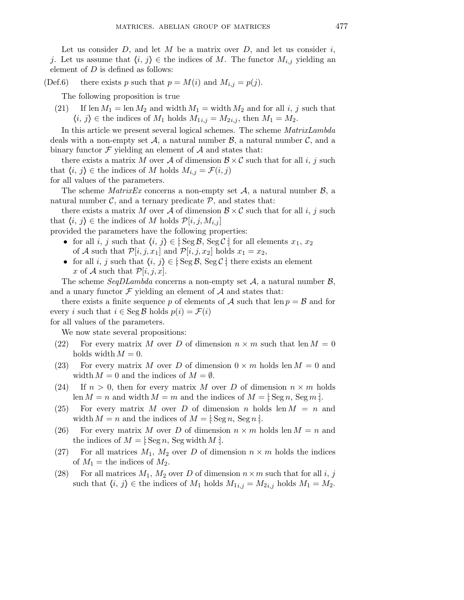Let us consider  $D$ , and let  $M$  be a matrix over  $D$ , and let us consider  $i$ , j. Let us assume that  $\langle i, j \rangle \in$  the indices of M. The functor  $M_{i,j}$  yielding an element of  $D$  is defined as follows:

(Def.6) there exists p such that  $p = M(i)$  and  $M_{i,j} = p(j)$ .

The following proposition is true

(21) If len  $M_1 = \text{len }M_2$  and width  $M_1 = \text{width }M_2$  and for all i, j such that  $\langle i, j \rangle \in \text{the indices of } M_1 \text{ holds } M_{1i,j} = M_{2i,j}, \text{ then } M_1 = M_2.$ 

In this article we present several logical schemes. The scheme MatrixLambda deals with a non-empty set A, a natural number  $\mathcal{B}$ , a natural number  $\mathcal{C}$ , and a binary functor  $\mathcal F$  yielding an element of  $\mathcal A$  and states that:

there exists a matrix M over A of dimension  $\mathcal{B} \times \mathcal{C}$  such that for all i, j such that  $\langle i, j \rangle \in$  the indices of M holds  $M_{i,j} = \mathcal{F}(i,j)$ 

for all values of the parameters.

The scheme *MatrixEx* concerns a non-empty set  $A$ , a natural number  $B$ , a natural number  $\mathcal{C}$ , and a ternary predicate  $\mathcal{P}$ , and states that:

there exists a matrix M over A of dimension  $\mathcal{B} \times \mathcal{C}$  such that for all i, j such that  $\langle i, j \rangle \in \text{the indices of } M \text{ holds } \mathcal{P}[i, j, M_{i,j}]$ 

provided the parameters have the following properties:

- for all i, j such that  $\langle i, j \rangle \in [Seg \mathcal{B}, Seg \mathcal{C}]$  for all elements  $x_1, x_2$ of A such that  $\mathcal{P}[i,j,x_1]$  and  $\mathcal{P}[i,j,x_2]$  holds  $x_1 = x_2$ ,
- for all i, j such that  $\langle i, j \rangle \in [Seg \mathcal{B}, Seg \mathcal{C}]$  there exists an element x of A such that  $\mathcal{P}[i,j,x]$ .

The scheme SeqDLambda concerns a non-empty set  $A$ , a natural number  $B$ , and a unary functor  $\mathcal F$  yielding an element of  $\mathcal A$  and states that:

there exists a finite sequence p of elements of A such that  $\text{len } p = \mathcal{B}$  and for every i such that  $i \in \text{Seg } \mathcal{B}$  holds  $p(i) = \mathcal{F}(i)$ 

for all values of the parameters.

We now state several propositions:

- (22) For every matrix M over D of dimension  $n \times m$  such that len  $M = 0$ holds width  $M = 0$ .
- (23) For every matrix M over D of dimension  $0 \times m$  holds len  $M = 0$  and width  $M = 0$  and the indices of  $M = \emptyset$ .
- (24) If  $n > 0$ , then for every matrix M over D of dimension  $n \times m$  holds len  $M = n$  and width  $M = m$  and the indices of  $M = \mathbb{E} \operatorname{Seg } n$ ,  $\operatorname{Seg } m$  !
- (25) For every matrix M over D of dimension n holds len  $M = n$  and width  $M = n$  and the indices of  $M = 3$ : Seg n, Seg n :
- (26) For every matrix M over D of dimension  $n \times m$  holds len  $M = n$  and the indices of  $M =$  [: Seg n, Seg width M : ].
- (27) For all matrices  $M_1, M_2$  over D of dimension  $n \times m$  holds the indices of  $M_1$  = the indices of  $M_2$ .
- (28) For all matrices  $M_1$ ,  $M_2$  over D of dimension  $n \times m$  such that for all i, j such that  $\langle i, j \rangle \in$  the indices of  $M_1$  holds  $M_{1i,j} = M_{2i,j}$  holds  $M_1 = M_2$ .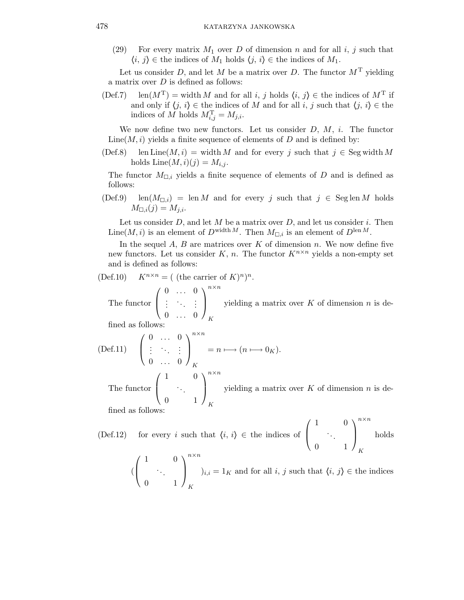(29) For every matrix  $M_1$  over D of dimension n and for all i, j such that  $\langle i, j \rangle \in \text{the indices of } M_1 \text{ holds } \langle j, i \rangle \in \text{the indices of } M_1.$ 

Let us consider D, and let M be a matrix over D. The functor  $M<sup>T</sup>$  yielding a matrix over  $D$  is defined as follows:

(Def.7) len( $M^T$ ) = width M and for all i, j holds  $\langle i, j \rangle \in$  the indices of  $M^T$  if and only if  $\langle j, i \rangle \in$  the indices of M and for all i, j such that  $\langle j, i \rangle \in$  the indices of M holds  $M_{i,j}^{\mathrm{T}} = M_{j,i}$ .

We now define two new functors. Let us consider  $D, M, i$ . The functor Line( $M, i$ ) yields a finite sequence of elements of D and is defined by:

(Def.8) len Line(M, i) = width M and for every j such that  $j \in \text{Seg width }M$ holds  $\text{Line}(M,i)(j) = M_{i,j}$ .

The functor  $M_{\Box,i}$  yields a finite sequence of elements of D and is defined as follows:

 $(\text{Def.9})$  len $(M_{\square,i})$  = len M and for every j such that  $j \in \text{Seg}$  len M holds  $M_{\square,i}(j) = M_{j,i}.$ 

Let us consider  $D$ , and let  $M$  be a matrix over  $D$ , and let us consider  $i$ . Then Line(M, i) is an element of  $D^{\text{width }M}$ . Then  $M_{\Box i}$  is an element of  $D^{\text{len }M}$ .

In the sequel  $A, B$  are matrices over  $K$  of dimension  $n$ . We now define five new functors. Let us consider K, n. The functor  $K^{n \times n}$  yields a non-empty set and is defined as follows:

$$
(\text{Def}.10) \quad K^{n \times n} = (\text{ (the carrier of } K)^n)^n.
$$

The functor  $\sqrt{ }$  $\overline{ }$  $0 \quad \dots \quad 0$  $\left(\begin{array}{cc} \lambda_1 & 1 \end{array}\right)$  $0 \quad \dots \quad 0$  $\setminus$  $\Big\}$ n×n K yielding a matrix over  $K$  of dimension  $n$  is de-

fined as follows

$$
\begin{array}{lll} \text{(Def.11)} & \left( \begin{array}{ccc} 0 & \dots & 0 \\ \vdots & \ddots & \vdots \\ 0 & \dots & 0 \end{array} \right)_K^{n \times n} = n \longmapsto (n \longmapsto 0_K). \end{array}
$$
\n
$$
\begin{array}{lll} \left( \begin{array}{ccc} 1 & 0 \end{array} \right)^{n \times n} \end{array}
$$

The functor  $\overline{ }$ . . . 0 1  $\Big\}$ K yielding a matrix over  $K$  of dimension  $n$  is de-

fined as follows:

(Def.12) for every i such that  $\langle i, i \rangle \in \mathbb{R}$  indices of  $\sqrt{ }$  $\left\vert \right\vert$ 1 0 . . . 0 1  $\setminus$  $\Big\}$ n×n K holds (  $\sqrt{ }$  $\overline{ }$ 1 0 . . . 0 1  $\setminus$  $\Big\}$ n×n K  $i_{i,i} = 1_K$  and for all i, j such that  $\langle i, j \rangle \in \mathbb{R}^n$  indices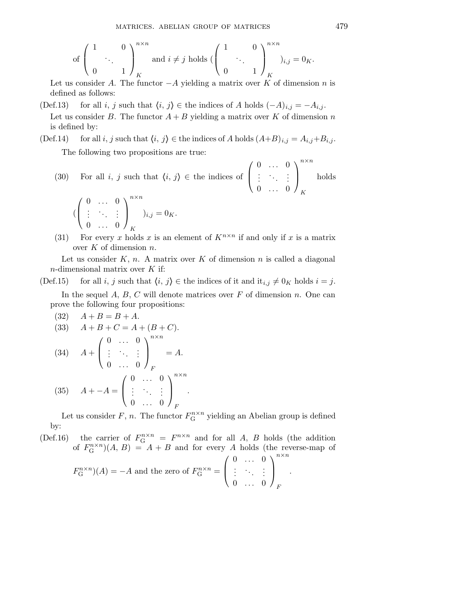of 
$$
\begin{pmatrix} 1 & 0 \\ 0 & 1 \end{pmatrix}_K^{n \times n}
$$
 and  $i \neq j$  holds  $\begin{pmatrix} 1 & 0 \\ 0 & 1 \end{pmatrix}_K^{n \times n}$  and  $i \neq j$  holds  $\begin{pmatrix} 1 & 0 \\ 0 & 1 \end{pmatrix}_K^{n \times n}$ 

Let us consider A. The functor  $-A$  yielding a matrix over K of dimension n is defined as follows:

- (Def.13) for all i, j such that  $\langle i, j \rangle \in$  the indices of A holds  $(-A)_{i,j} = -A_{i,j}$ . Let us consider B. The functor  $A + B$  yielding a matrix over K of dimension n is defined by:
- (Def.14) for all i, j such that  $\langle i, j \rangle \in$  the indices of A holds  $(A+B)_{i,j} = A_{i,j}+B_{i,j}$ . The following two propositions are true:
	- (30) For all i, j such that  $\langle i, j \rangle \in \mathbb{R}$  indices of  $\sqrt{ }$  $\overline{\mathcal{L}}$  $0 \quad \dots \quad 0$  $\left(\begin{array}{cc} \lambda_1 & 1 \end{array}\right)$  $0 \quad \dots \quad 0$  $\setminus$  $\Big\}$ n×n K holds

$$
(\left(\begin{array}{ccc}0 & \ldots & 0 \\ \vdots & \ddots & \vdots \\0 & \ldots & 0\end{array}\right)_{K}^{n \times n})_{i,j} = 0_K.
$$

(31) For every x holds x is an element of  $K^{n \times n}$  if and only if x is a matrix over  $K$  of dimension  $n$ .

Let us consider  $K, n$ . A matrix over K of dimension n is called a diagonal  $n$ -dimensional matrix over  $K$  if:

(Def.15) for all i, j such that  $\langle i, j \rangle \in \mathfrak{h}$  indices of it and  $\mathrm{it}_{i,j} \neq 0_K$  holds  $i = j$ .

In the sequel  $A, B, C$  will denote matrices over  $F$  of dimension n. One can prove the following four propositions:

(32) 
$$
A + B = B + A
$$
.  
\n(33)  $A + B + C = A + (B + C)$ .  
\n(34)  $A + \begin{pmatrix} 0 & \cdots & 0 \\ \vdots & \ddots & \vdots \\ 0 & \cdots & 0 \end{pmatrix}_F = A$ .  
\n(35)  $A + -A = \begin{pmatrix} 0 & \cdots & 0 \\ \vdots & \ddots & \vdots \\ 0 & \cdots & 0 \end{pmatrix}_F^{n \times n}$ 

Let us consider F, n. The functor  $F_{\mathcal{G}}^{n \times n}$  yielding an Abelian group is defined by:

.

(Def.16) the carrier of  $F_{\rm G}^{n \times n} = F^{n \times n}$  and for all A, B holds (the addition of  $F_{\mathcal{G}}^{n \times n}$ )(*A*, *B*) = *A* + *B* and for every *A* holds (the reverse-map of

$$
F_{\mathcal{G}}^{n \times n})(A) = -A \text{ and the zero of } F_{\mathcal{G}}^{n \times n} = \begin{pmatrix} 0 & \dots & 0 \\ \vdots & \ddots & \vdots \\ 0 & \dots & 0 \end{pmatrix}_{F}^{n \times n}.
$$